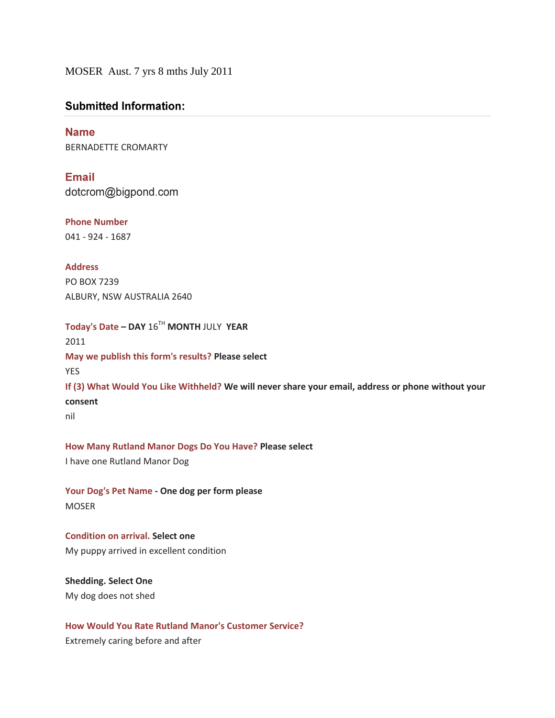MOSER Aust. 7 yrs 8 mths July 2011

# **Submitted Information:**

**Name** BERNADETTE CROMARTY

Email dotcrom@bigpond.com

**Phone Number** 041 - 924 - 1687

**Address** PO BOX 7239 ALBURY, NSW AUSTRALIA 2640

**Today's Date – DAY** 16TH **MONTH** JULY **YEAR** 2011 **May we publish this form's results? Please select** YES **If (3) What Would You Like Withheld? We will never share your email, address or phone without your consent** nil

**How Many Rutland Manor Dogs Do You Have? Please select**  I have one Rutland Manor Dog

**Your Dog's Pet Name - One dog per form please** MOSER

**Condition on arrival. Select one** My puppy arrived in excellent condition

**Shedding. Select One** My dog does not shed

**How Would You Rate Rutland Manor's Customer Service?**

Extremely caring before and after